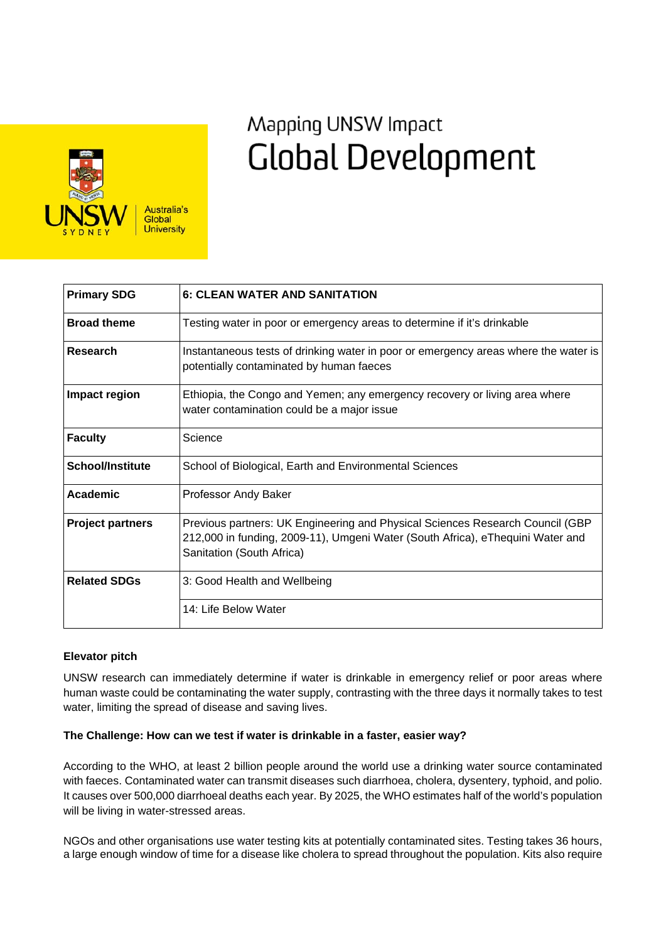

# Mapping UNSW Impact **Global Development**

| <b>Primary SDG</b>      | <b>6: CLEAN WATER AND SANITATION</b>                                                                                                                                                         |
|-------------------------|----------------------------------------------------------------------------------------------------------------------------------------------------------------------------------------------|
| <b>Broad theme</b>      | Testing water in poor or emergency areas to determine if it's drinkable                                                                                                                      |
| <b>Research</b>         | Instantaneous tests of drinking water in poor or emergency areas where the water is<br>potentially contaminated by human faeces                                                              |
| Impact region           | Ethiopia, the Congo and Yemen; any emergency recovery or living area where<br>water contamination could be a major issue                                                                     |
| <b>Faculty</b>          | Science                                                                                                                                                                                      |
| <b>School/Institute</b> | School of Biological, Earth and Environmental Sciences                                                                                                                                       |
| <b>Academic</b>         | Professor Andy Baker                                                                                                                                                                         |
| <b>Project partners</b> | Previous partners: UK Engineering and Physical Sciences Research Council (GBP<br>212,000 in funding, 2009-11), Umgeni Water (South Africa), eThequini Water and<br>Sanitation (South Africa) |
| <b>Related SDGs</b>     | 3: Good Health and Wellbeing                                                                                                                                                                 |
|                         | 14: Life Below Water                                                                                                                                                                         |

## **Elevator pitch**

UNSW research can immediately determine if water is drinkable in emergency relief or poor areas where human waste could be contaminating the water supply, contrasting with the three days it normally takes to test water, limiting the spread of disease and saving lives.

## **The Challenge: How can we test if water is drinkable in a faster, easier way?**

According to the WHO, at least 2 billion people around the world use a drinking water source contaminated with faeces. Contaminated water can transmit diseases such diarrhoea, cholera, dysentery, typhoid, and polio. It causes over 500,000 diarrhoeal deaths each year. By 2025, the WHO estimates half of the world's population will be living in water-stressed areas.

NGOs and other organisations use water testing kits at potentially contaminated sites. Testing takes 36 hours, a large enough window of time for a disease like cholera to spread throughout the population. Kits also require